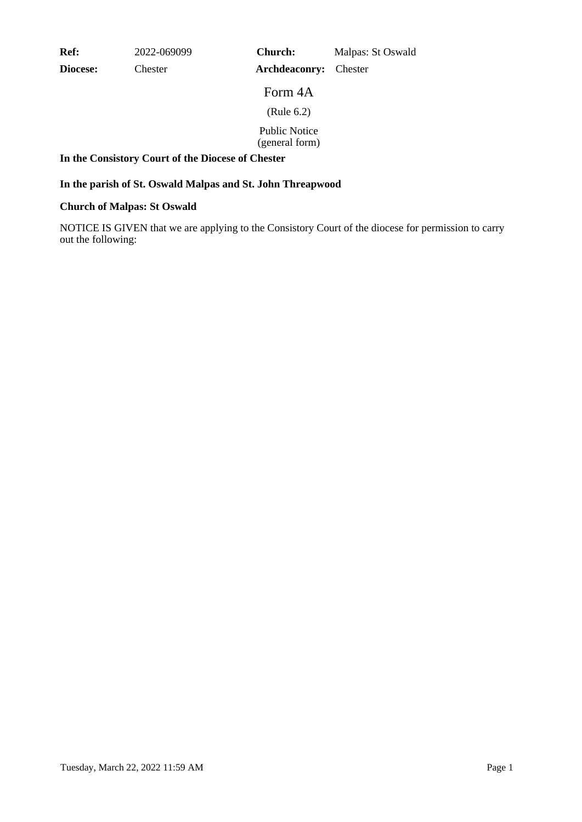**Ref:** 2022-069099

**Diocese:** Chester

**Archdeaconry:** Chester **Church:** Malpas: St Oswald

Form 4A

(Rule 6.2)

Public Notice (general form)

## **In the Consistory Court of the Diocese of Chester**

## **In the parish of St. Oswald Malpas and St. John Threapwood**

## **Church of Malpas: St Oswald**

NOTICE IS GIVEN that we are applying to the Consistory Court of the diocese for permission to carry out the following: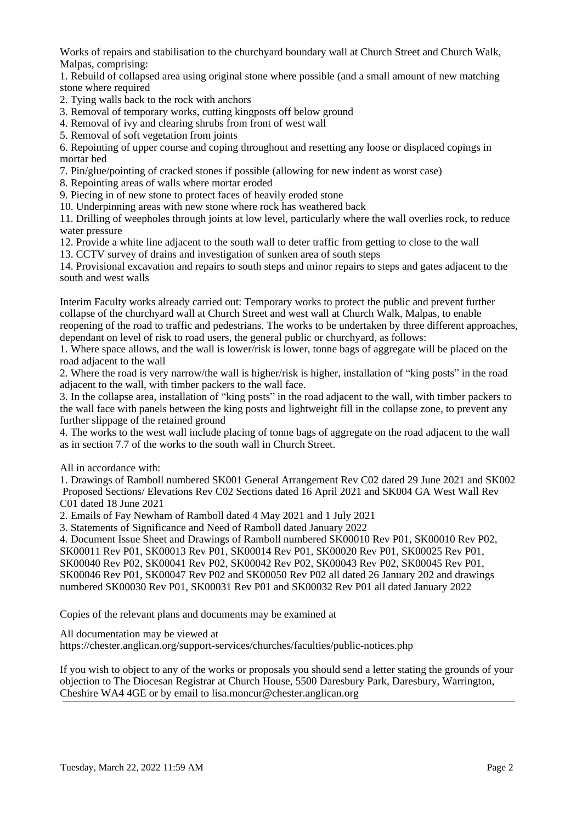Works of repairs and stabilisation to the churchyard boundary wall at Church Street and Church Walk, Malpas, comprising:

1. Rebuild of collapsed area using original stone where possible (and a small amount of new matching stone where required

- 2. Tying walls back to the rock with anchors
- 3. Removal of temporary works, cutting kingposts off below ground
- 4. Removal of ivy and clearing shrubs from front of west wall
- 5. Removal of soft vegetation from joints

6. Repointing of upper course and coping throughout and resetting any loose or displaced copings in mortar bed

7. Pin/glue/pointing of cracked stones if possible (allowing for new indent as worst case)

8. Repointing areas of walls where mortar eroded

9. Piecing in of new stone to protect faces of heavily eroded stone

10. Underpinning areas with new stone where rock has weathered back

11. Drilling of weepholes through joints at low level, particularly where the wall overlies rock, to reduce water pressure

12. Provide a white line adjacent to the south wall to deter traffic from getting to close to the wall

13. CCTV survey of drains and investigation of sunken area of south steps

14. Provisional excavation and repairs to south steps and minor repairs to steps and gates adjacent to the south and west walls

Interim Faculty works already carried out: Temporary works to protect the public and prevent further collapse of the churchyard wall at Church Street and west wall at Church Walk, Malpas, to enable reopening of the road to traffic and pedestrians. The works to be undertaken by three different approaches, dependant on level of risk to road users, the general public or churchyard, as follows:

1. Where space allows, and the wall is lower/risk is lower, tonne bags of aggregate will be placed on the road adjacent to the wall

2. Where the road is very narrow/the wall is higher/risk is higher, installation of "king posts" in the road adjacent to the wall, with timber packers to the wall face.

3. In the collapse area, installation of "king posts" in the road adjacent to the wall, with timber packers to the wall face with panels between the king posts and lightweight fill in the collapse zone, to prevent any further slippage of the retained ground

4. The works to the west wall include placing of tonne bags of aggregate on the road adjacent to the wall as in section 7.7 of the works to the south wall in Church Street.

All in accordance with:

1. Drawings of Ramboll numbered SK001 General Arrangement Rev C02 dated 29 June 2021 and SK002 Proposed Sections/ Elevations Rev C02 Sections dated 16 April 2021 and SK004 GA West Wall Rev C01 dated 18 June 2021

2. Emails of Fay Newham of Ramboll dated 4 May 2021 and 1 July 2021

3. Statements of Significance and Need of Ramboll dated January 2022

4. Document Issue Sheet and Drawings of Ramboll numbered SK00010 Rev P01, SK00010 Rev P02, SK00011 Rev P01, SK00013 Rev P01, SK00014 Rev P01, SK00020 Rev P01, SK00025 Rev P01, SK00040 Rev P02, SK00041 Rev P02, SK00042 Rev P02, SK00043 Rev P02, SK00045 Rev P01, SK00046 Rev P01, SK00047 Rev P02 and SK00050 Rev P02 all dated 26 January 202 and drawings numbered SK00030 Rev P01, SK00031 Rev P01 and SK00032 Rev P01 all dated January 2022

Copies of the relevant plans and documents may be examined at

All documentation may be viewed at

https://chester.anglican.org/support-services/churches/faculties/public-notices.php

If you wish to object to any of the works or proposals you should send a letter stating the grounds of your objection to The Diocesan Registrar at Church House, 5500 Daresbury Park, Daresbury, Warrington, Cheshire WA4 4GE or by email to lisa.moncur@chester.anglican.org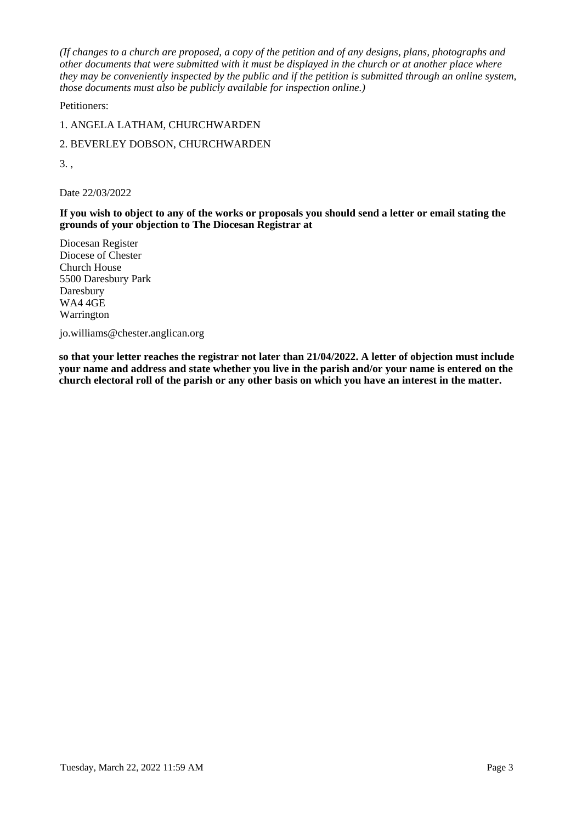*(If changes to a church are proposed, a copy of the petition and of any designs, plans, photographs and other documents that were submitted with it must be displayed in the church or at another place where they may be conveniently inspected by the public and if the petition is submitted through an online system, those documents must also be publicly available for inspection online.)*

Petitioners:

1. ANGELA LATHAM, CHURCHWARDEN

2. BEVERLEY DOBSON, CHURCHWARDEN

3. ,

Date 22/03/2022

**If you wish to object to any of the works or proposals you should send a letter or email stating the grounds of your objection to The Diocesan Registrar at**

Diocesan Register Diocese of Chester Church House 5500 Daresbury Park Daresbury WA4 4GE Warrington

jo.williams@chester.anglican.org

**so that your letter reaches the registrar not later than 21/04/2022. A letter of objection must include your name and address and state whether you live in the parish and/or your name is entered on the church electoral roll of the parish or any other basis on which you have an interest in the matter.**